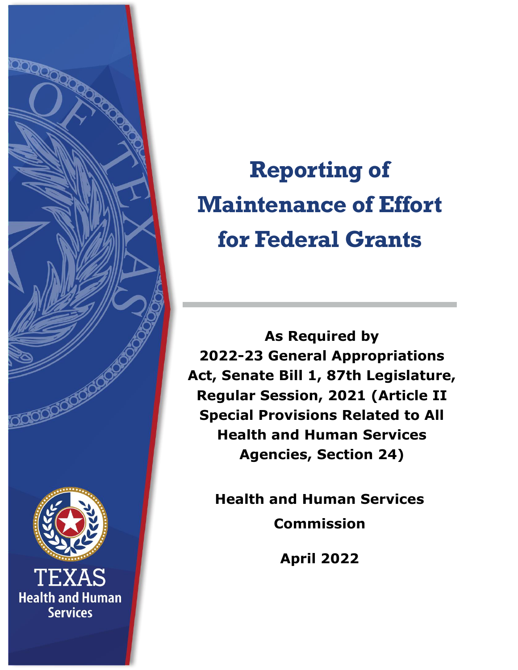

**Reporting of Maintenance of Effort for Federal Grants**

**As Required by 2022-23 General Appropriations Act, Senate Bill 1, 87th Legislature, Regular Session, 2021 (Article II Special Provisions Related to All Health and Human Services Agencies, Section 24)**

**Health and Human Services Commission**

**April 2022**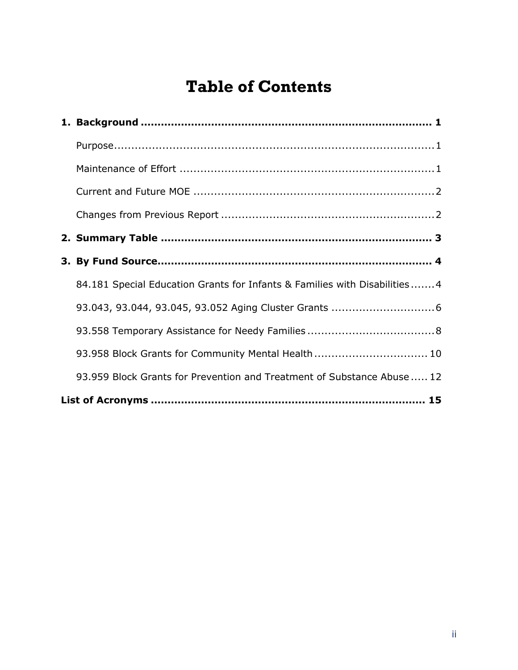# **Table of Contents**

| 84.181 Special Education Grants for Infants & Families with Disabilities4 |
|---------------------------------------------------------------------------|
|                                                                           |
|                                                                           |
| 93.958 Block Grants for Community Mental Health 10                        |
| 93.959 Block Grants for Prevention and Treatment of Substance Abuse  12   |
|                                                                           |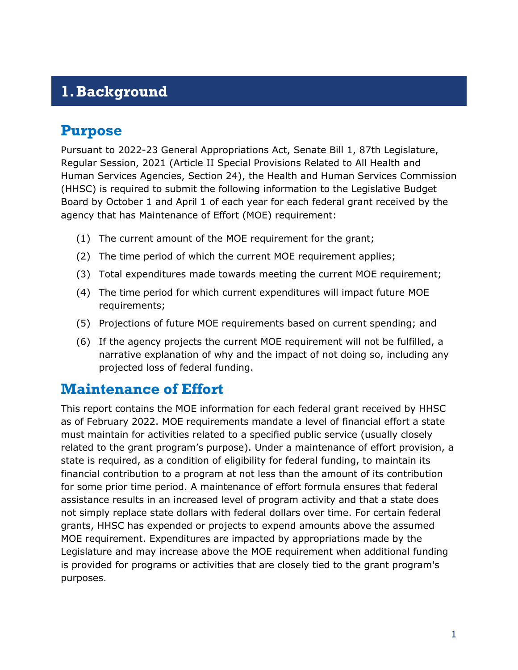## <span id="page-2-0"></span>**1.Background**

### <span id="page-2-1"></span>**Purpose**

Pursuant to 2022-23 General Appropriations Act, Senate Bill 1, 87th Legislature, Regular Session, 2021 (Article II Special Provisions Related to All Health and Human Services Agencies, Section 24), the Health and Human Services Commission (HHSC) is required to submit the following information to the Legislative Budget Board by October 1 and April 1 of each year for each federal grant received by the agency that has Maintenance of Effort (MOE) requirement:

- (1) The current amount of the MOE requirement for the grant;
- (2) The time period of which the current MOE requirement applies;
- (3) Total expenditures made towards meeting the current MOE requirement;
- (4) The time period for which current expenditures will impact future MOE requirements;
- (5) Projections of future MOE requirements based on current spending; and
- (6) If the agency projects the current MOE requirement will not be fulfilled, a narrative explanation of why and the impact of not doing so, including any projected loss of federal funding.

### <span id="page-2-2"></span>**Maintenance of Effort**

This report contains the MOE information for each federal grant received by HHSC as of February 2022. MOE requirements mandate a level of financial effort a state must maintain for activities related to a specified public service (usually closely related to the grant program's purpose). Under a maintenance of effort provision, a state is required, as a condition of eligibility for federal funding, to maintain its financial contribution to a program at not less than the amount of its contribution for some prior time period. A maintenance of effort formula ensures that federal assistance results in an increased level of program activity and that a state does not simply replace state dollars with federal dollars over time. For certain federal grants, HHSC has expended or projects to expend amounts above the assumed MOE requirement. Expenditures are impacted by appropriations made by the Legislature and may increase above the MOE requirement when additional funding is provided for programs or activities that are closely tied to the grant program's purposes.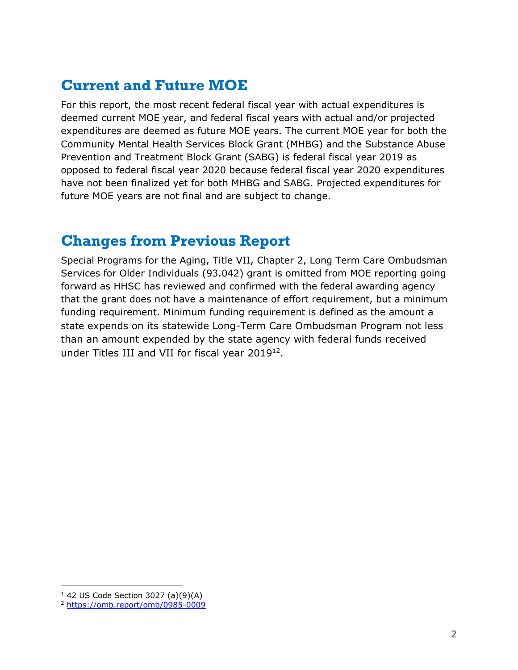## <span id="page-3-0"></span>**Current and Future MOE**

For this report, the most recent federal fiscal year with actual expenditures is deemed current MOE year, and federal fiscal years with actual and/or projected expenditures are deemed as future MOE years. The current MOE year for both the Community Mental Health Services Block Grant (MHBG) and the Substance Abuse Prevention and Treatment Block Grant (SABG) is federal fiscal year 2019 as opposed to federal fiscal year 2020 because federal fiscal year 2020 expenditures have not been finalized yet for both MHBG and SABG. Projected expenditures for future MOE years are not final and are subject to change.

### <span id="page-3-1"></span>**Changes from Previous Report**

Special Programs for the Aging, Title VII, Chapter 2, Long Term Care Ombudsman Services for Older Individuals (93.042) grant is omitted from MOE reporting going forward as HHSC has reviewed and confirmed with the federal awarding agency that the grant does not have a maintenance of effort requirement, but a minimum funding requirement. Minimum funding requirement is defined as the amount a state expends on its statewide Long-Term Care Ombudsman Program not less than an amount expended by the state agency with federal funds received under Titles III and VII for fiscal year  $2019^{12}$ .

<sup>1</sup> 42 US Code Section 3027 (a)(9)(A)

<sup>2</sup> <https://omb.report/omb/0985-0009>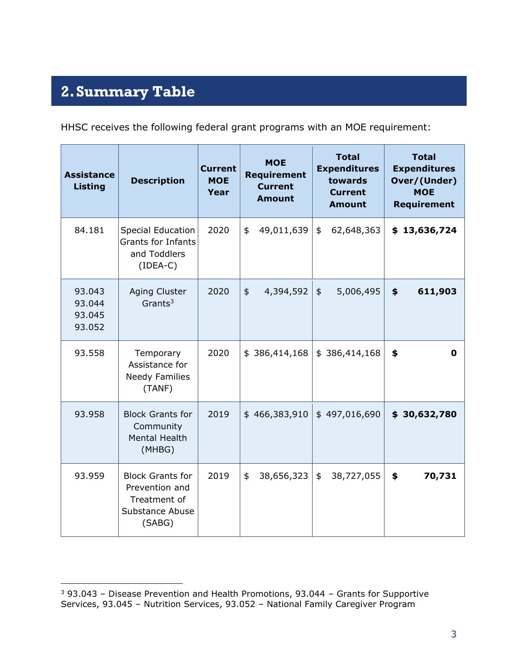# <span id="page-4-0"></span>**2.Summary Table**

HHSC receives the following federal grant programs with an MOE requirement:

| <b>Assistance</b><br><b>Listing</b>  | <b>Description</b>                                                                            | <b>Current</b><br><b>MOE</b><br>Year | <b>MOE</b><br><b>Requirement</b><br><b>Current</b><br><b>Amount</b> | <b>Total</b><br><b>Expenditures</b><br>towards<br><b>Current</b><br><b>Amount</b> | <b>Total</b><br><b>Expenditures</b><br>Over/(Under)<br><b>MOE</b><br>Requirement |
|--------------------------------------|-----------------------------------------------------------------------------------------------|--------------------------------------|---------------------------------------------------------------------|-----------------------------------------------------------------------------------|----------------------------------------------------------------------------------|
| 84.181                               | <b>Special Education</b><br><b>Grants for Infants</b><br>and Toddlers<br>$(IDEA-C)$           | 2020                                 | 49,011,639<br>\$                                                    | \$<br>62,648,363                                                                  | \$13,636,724                                                                     |
| 93.043<br>93.044<br>93.045<br>93.052 | <b>Aging Cluster</b><br>Grants <sup>3</sup>                                                   | 2020                                 | 4,394,592<br>$\frac{1}{2}$                                          | 5,006,495<br>$\frac{1}{2}$                                                        | \$<br>611,903                                                                    |
| 93.558                               | Temporary<br>Assistance for<br><b>Needy Families</b><br>(TANF)                                | 2020                                 | \$386,414,168                                                       | \$386,414,168                                                                     | \$<br>0                                                                          |
| 93.958                               | <b>Block Grants for</b><br>Community<br><b>Mental Health</b><br>(MHBG)                        | 2019                                 | \$466,383,910                                                       | \$497,016,690                                                                     | \$30,632,780                                                                     |
| 93.959                               | <b>Block Grants for</b><br>Prevention and<br>Treatment of<br><b>Substance Abuse</b><br>(SABG) | 2019                                 | 38,656,323<br>\$                                                    | \$<br>38,727,055                                                                  | \$<br>70,731                                                                     |

 $3$  93.043 – Disease Prevention and Health Promotions, 93.044 – Grants for Supportive Services, 93.045 – Nutrition Services, 93.052 – National Family Caregiver Program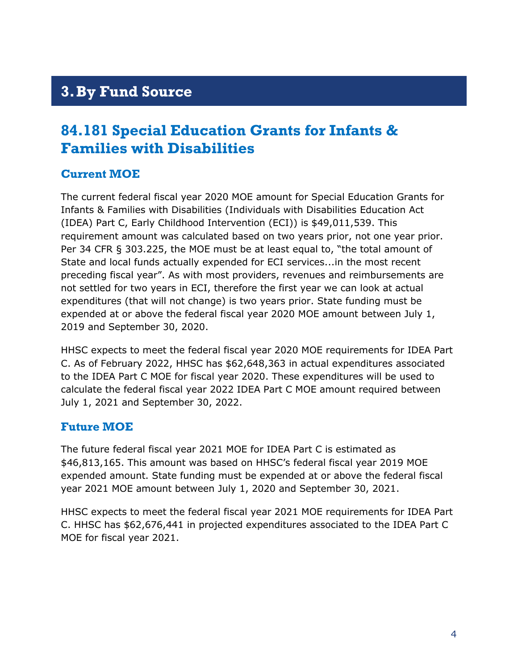## <span id="page-5-0"></span>**3.By Fund Source**

### <span id="page-5-1"></span>**84.181 Special Education Grants for Infants & Families with Disabilities**

#### **Current MOE**

The current federal fiscal year 2020 MOE amount for Special Education Grants for Infants & Families with Disabilities (Individuals with Disabilities Education Act (IDEA) Part C, Early Childhood Intervention (ECI)) is \$49,011,539. This requirement amount was calculated based on two years prior, not one year prior. Per 34 CFR § 303.225, the MOE must be at least equal to, "the total amount of State and local funds actually expended for ECI services...in the most recent preceding fiscal year". As with most providers, revenues and reimbursements are not settled for two years in ECI, therefore the first year we can look at actual expenditures (that will not change) is two years prior. State funding must be expended at or above the federal fiscal year 2020 MOE amount between July 1, 2019 and September 30, 2020.

HHSC expects to meet the federal fiscal year 2020 MOE requirements for IDEA Part C. As of February 2022, HHSC has \$62,648,363 in actual expenditures associated to the IDEA Part C MOE for fiscal year 2020. These expenditures will be used to calculate the federal fiscal year 2022 IDEA Part C MOE amount required between July 1, 2021 and September 30, 2022.

#### **Future MOE**

The future federal fiscal year 2021 MOE for IDEA Part C is estimated as \$46,813,165. This amount was based on HHSC's federal fiscal year 2019 MOE expended amount. State funding must be expended at or above the federal fiscal year 2021 MOE amount between July 1, 2020 and September 30, 2021.

HHSC expects to meet the federal fiscal year 2021 MOE requirements for IDEA Part C. HHSC has \$62,676,441 in projected expenditures associated to the IDEA Part C MOE for fiscal year 2021.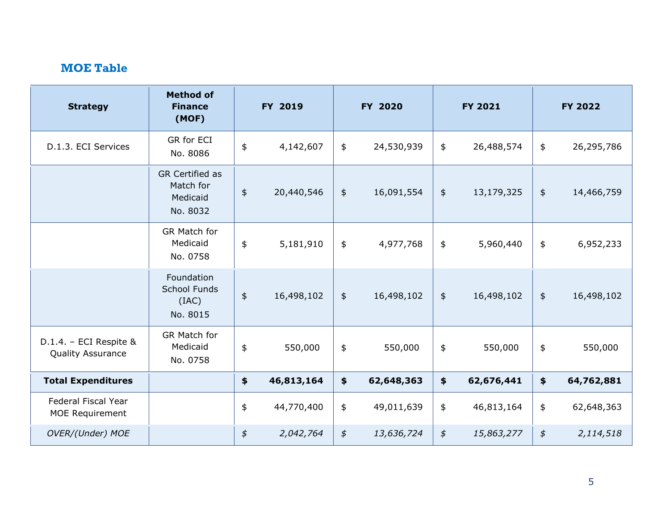$\mathcal{L}$ 

| <b>Strategy</b>                                      | <b>Method of</b><br><b>Finance</b><br>(MOF)                 | FY 2019          |            | FY 2020       |            | <b>FY 2021</b>  |            | <b>FY 2022</b> |            |
|------------------------------------------------------|-------------------------------------------------------------|------------------|------------|---------------|------------|-----------------|------------|----------------|------------|
| D.1.3. ECI Services                                  | GR for ECI<br>No. 8086                                      | $\pmb{\$}$       | 4,142,607  | \$            | 24,530,939 | \$              | 26,488,574 | $\frac{1}{2}$  | 26,295,786 |
|                                                      | <b>GR Certified as</b><br>Match for<br>Medicaid<br>No. 8032 | $\pmb{\ddagger}$ | 20,440,546 | $\frac{1}{2}$ | 16,091,554 | $\frac{4}{5}$   | 13,179,325 | $\frac{1}{2}$  | 14,466,759 |
|                                                      | <b>GR Match for</b><br>Medicaid<br>No. 0758                 | $\frac{1}{2}$    | 5,181,910  | \$            | 4,977,768  | \$              | 5,960,440  | $\frac{1}{2}$  | 6,952,233  |
|                                                      | Foundation<br><b>School Funds</b><br>(IAC)<br>No. 8015      | $\pmb{\ddagger}$ | 16,498,102 | $\frac{1}{2}$ | 16,498,102 | $\frac{1}{2}$   | 16,498,102 | $\frac{1}{2}$  | 16,498,102 |
| D.1.4. - ECI Respite &<br><b>Quality Assurance</b>   | GR Match for<br>Medicaid<br>No. 0758                        | \$               | 550,000    | \$            | 550,000    | $\frac{1}{2}$   | 550,000    | $\frac{4}{5}$  | 550,000    |
| <b>Total Expenditures</b>                            |                                                             | $\clubsuit$      | 46,813,164 | \$            | 62,648,363 | $\blacklozenge$ | 62,676,441 | \$             | 64,762,881 |
| <b>Federal Fiscal Year</b><br><b>MOE Requirement</b> |                                                             | $\frac{1}{2}$    | 44,770,400 | \$            | 49,011,639 | $\frac{1}{2}$   | 46,813,164 | \$             | 62,648,363 |
| OVER/(Under) MOE                                     |                                                             | $\oint$          | 2,042,764  | $\oint$       | 13,636,724 | $\oint$         | 15,863,277 | $\oint$        | 2,114,518  |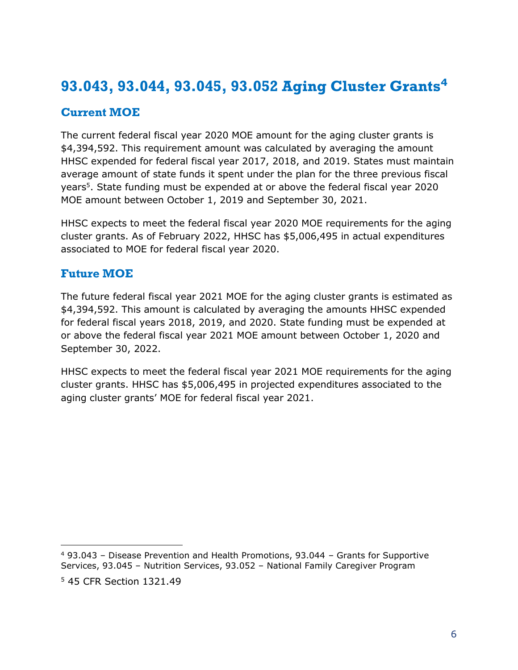## <span id="page-7-0"></span>**93.043, 93.044, 93.045, 93.052 Aging Cluster Grants<sup>4</sup>**

#### **Current MOE**

The current federal fiscal year 2020 MOE amount for the aging cluster grants is \$4,394,592. This requirement amount was calculated by averaging the amount HHSC expended for federal fiscal year 2017, 2018, and 2019. States must maintain average amount of state funds it spent under the plan for the three previous fiscal years<sup>5</sup>. State funding must be expended at or above the federal fiscal year 2020 MOE amount between October 1, 2019 and September 30, 2021.

HHSC expects to meet the federal fiscal year 2020 MOE requirements for the aging cluster grants. As of February 2022, HHSC has \$5,006,495 in actual expenditures associated to MOE for federal fiscal year 2020.

#### **Future MOE**

The future federal fiscal year 2021 MOE for the aging cluster grants is estimated as \$4,394,592. This amount is calculated by averaging the amounts HHSC expended for federal fiscal years 2018, 2019, and 2020. State funding must be expended at or above the federal fiscal year 2021 MOE amount between October 1, 2020 and September 30, 2022.

HHSC expects to meet the federal fiscal year 2021 MOE requirements for the aging cluster grants. HHSC has \$5,006,495 in projected expenditures associated to the aging cluster grants' MOE for federal fiscal year 2021.

<sup>4</sup> 93.043 – Disease Prevention and Health Promotions, 93.044 – Grants for Supportive Services, 93.045 – Nutrition Services, 93.052 – National Family Caregiver Program <sup>5</sup> 45 CFR Section 1321.49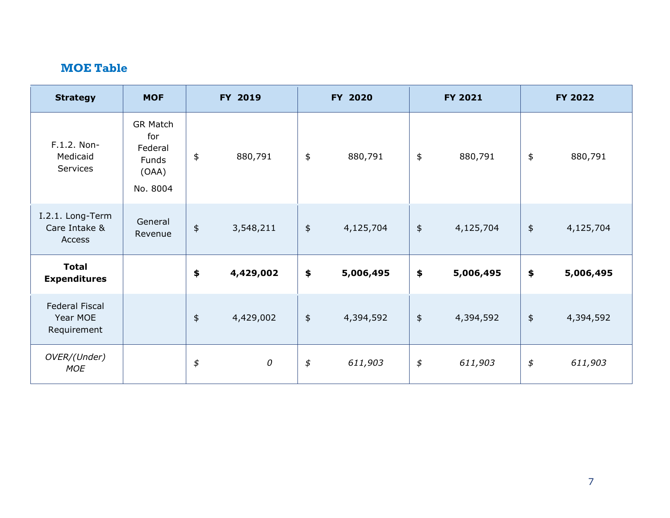Ñ.

| <b>Strategy</b>                                  | <b>MOF</b>                                                      | FY 2019                         |           |                                            | FY 2020   |                                 | FY 2021   | FY 2022                         |           |  |
|--------------------------------------------------|-----------------------------------------------------------------|---------------------------------|-----------|--------------------------------------------|-----------|---------------------------------|-----------|---------------------------------|-----------|--|
| F.1.2. Non-<br>Medicaid<br>Services              | GR Match<br>for<br>Federal<br><b>Funds</b><br>(OAA)<br>No. 8004 | $\pmb{\$}$                      | 880,791   | \$                                         | 880,791   | \$                              | 880,791   | \$                              | 880,791   |  |
| I.2.1. Long-Term<br>Care Intake &<br>Access      | General<br>Revenue                                              | $\pmb{\$}$                      | 3,548,211 | $\ddagger$                                 | 4,125,704 | $\pmb{\mathfrak{\mathfrak{p}}}$ | 4,125,704 | $\pmb{\ddagger}$                | 4,125,704 |  |
| <b>Total</b><br><b>Expenditures</b>              |                                                                 | \$                              | 4,429,002 | $\clubsuit$                                | 5,006,495 | \$                              | 5,006,495 | \$                              | 5,006,495 |  |
| <b>Federal Fiscal</b><br>Year MOE<br>Requirement |                                                                 | $\frac{4}{5}$                   | 4,429,002 | $\ddagger$                                 | 4,394,592 | $\pmb{\ddagger}$                | 4,394,592 | $\pmb{\ddagger}$                | 4,394,592 |  |
| OVER/(Under)<br><b>MOE</b>                       |                                                                 | $\pmb{\mathfrak{\mathfrak{P}}}$ | 0         | $\pmb{\mathfrak{\mathfrak{\mathfrak{p}}}}$ | 611,903   | $\pmb{\mathfrak{\mathfrak{P}}}$ | 611,903   | $\pmb{\mathfrak{\mathfrak{P}}}$ | 611,903   |  |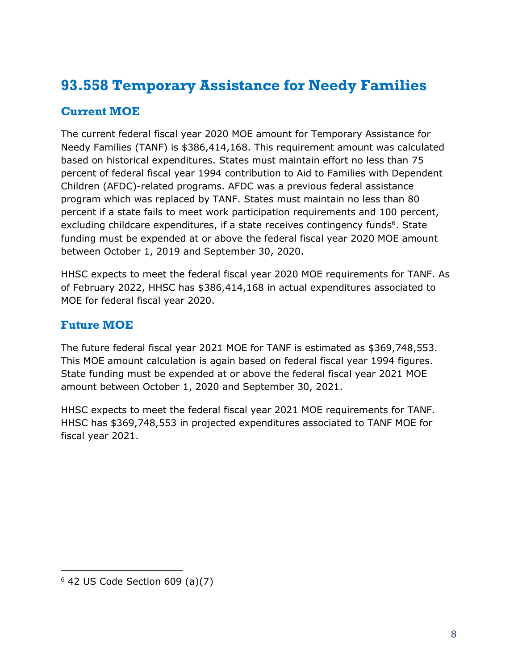## <span id="page-9-0"></span>**93.558 Temporary Assistance for Needy Families**

#### **Current MOE**

The current federal fiscal year 2020 MOE amount for Temporary Assistance for Needy Families (TANF) is \$386,414,168. This requirement amount was calculated based on historical expenditures. States must maintain effort no less than 75 percent of federal fiscal year 1994 contribution to Aid to Families with Dependent Children (AFDC)-related programs. AFDC was a previous federal assistance program which was replaced by TANF. States must maintain no less than 80 percent if a state fails to meet work participation requirements and 100 percent, excluding childcare expenditures, if a state receives contingency funds<sup>6</sup>. State funding must be expended at or above the federal fiscal year 2020 MOE amount between October 1, 2019 and September 30, 2020.

HHSC expects to meet the federal fiscal year 2020 MOE requirements for TANF. As of February 2022, HHSC has \$386,414,168 in actual expenditures associated to MOE for federal fiscal year 2020.

#### **Future MOE**

The future federal fiscal year 2021 MOE for TANF is estimated as \$369,748,553. This MOE amount calculation is again based on federal fiscal year 1994 figures. State funding must be expended at or above the federal fiscal year 2021 MOE amount between October 1, 2020 and September 30, 2021.

HHSC expects to meet the federal fiscal year 2021 MOE requirements for TANF. HHSC has \$369,748,553 in projected expenditures associated to TANF MOE for fiscal year 2021.

 $6$  42 US Code Section 609 (a)(7)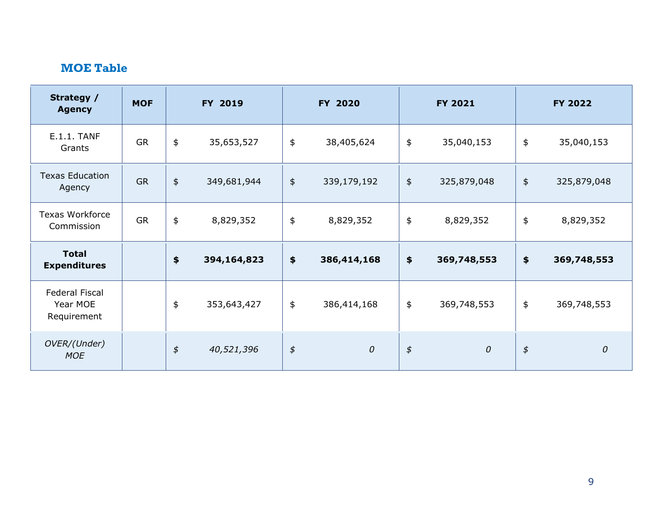| Strategy /<br><b>Agency</b>                      | <b>MOF</b> |                         | FY 2019     |                                 | FY 2020          |                                               | <b>FY 2021</b> | FY 2022       |             |  |
|--------------------------------------------------|------------|-------------------------|-------------|---------------------------------|------------------|-----------------------------------------------|----------------|---------------|-------------|--|
| <b>E.1.1. TANF</b><br>Grants                     | <b>GR</b>  | \$                      | 35,653,527  | \$                              | 38,405,624       | \$                                            | 35,040,153     | $\frac{1}{2}$ | 35,040,153  |  |
| <b>Texas Education</b><br>Agency                 | <b>GR</b>  | $\boldsymbol{\ddagger}$ | 349,681,944 | $\frac{1}{2}$                   | 339,179,192      | $\frac{1}{2}$                                 | 325,879,048    | $\frac{1}{2}$ | 325,879,048 |  |
| <b>Texas Workforce</b><br>Commission             | <b>GR</b>  | \$                      | 8,829,352   | \$                              | 8,829,352        | \$                                            | 8,829,352      | $\pmb{\$}$    | 8,829,352   |  |
| <b>Total</b><br><b>Expenditures</b>              |            | \$                      | 394,164,823 | $\frac{1}{2}$                   | 386,414,168      | $\frac{1}{2}$                                 | 369,748,553    | $\frac{1}{2}$ | 369,748,553 |  |
| <b>Federal Fiscal</b><br>Year MOE<br>Requirement |            | \$                      | 353,643,427 | \$                              | 386,414,168      | \$                                            | 369,748,553    | $\frac{1}{2}$ | 369,748,553 |  |
| OVER/(Under)<br><b>MOE</b>                       |            | $\pmb{\phi}$            | 40,521,396  | $\pmb{\mathfrak{\mathfrak{P}}}$ | $\boldsymbol{0}$ | $\rlap{\hspace{1.5pt}}\mathord{\mathfrak{F}}$ | $\mathcal{O}$  | $\oint$       | ${\cal O}$  |  |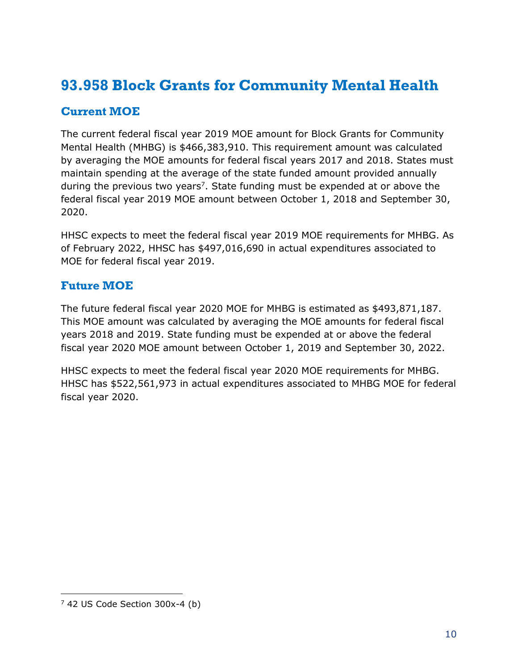### <span id="page-11-0"></span>**93.958 Block Grants for Community Mental Health**

#### **Current MOE**

The current federal fiscal year 2019 MOE amount for Block Grants for Community Mental Health (MHBG) is \$466,383,910. This requirement amount was calculated by averaging the MOE amounts for federal fiscal years 2017 and 2018. States must maintain spending at the average of the state funded amount provided annually during the previous two years<sup>7</sup>. State funding must be expended at or above the federal fiscal year 2019 MOE amount between October 1, 2018 and September 30, 2020.

HHSC expects to meet the federal fiscal year 2019 MOE requirements for MHBG. As of February 2022, HHSC has \$497,016,690 in actual expenditures associated to MOE for federal fiscal year 2019.

#### **Future MOE**

The future federal fiscal year 2020 MOE for MHBG is estimated as \$493,871,187. This MOE amount was calculated by averaging the MOE amounts for federal fiscal years 2018 and 2019. State funding must be expended at or above the federal fiscal year 2020 MOE amount between October 1, 2019 and September 30, 2022.

HHSC expects to meet the federal fiscal year 2020 MOE requirements for MHBG. HHSC has \$522,561,973 in actual expenditures associated to MHBG MOE for federal fiscal year 2020.

 $7$  42 US Code Section 300x-4 (b)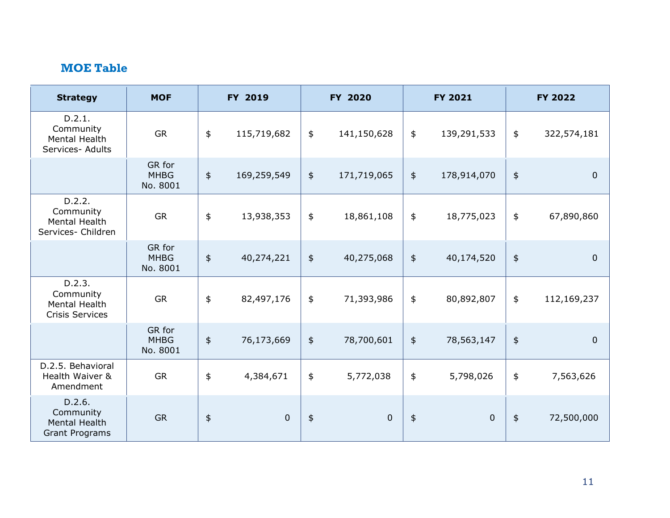| <b>Strategy</b>                                                | <b>MOF</b>                        | FY 2019       |             |                  | FY 2020     |               | FY 2021          | <b>FY 2022</b>   |             |  |
|----------------------------------------------------------------|-----------------------------------|---------------|-------------|------------------|-------------|---------------|------------------|------------------|-------------|--|
| D.2.1.<br>Community<br>Mental Health<br>Services- Adults       | <b>GR</b>                         | \$            | 115,719,682 | \$               | 141,150,628 | $\frac{1}{2}$ | 139,291,533      | \$               | 322,574,181 |  |
|                                                                | GR for<br><b>MHBG</b><br>No. 8001 | \$            | 169,259,549 | \$               | 171,719,065 | $\frac{1}{2}$ | 178,914,070      | $\ddagger$       | $\mathbf 0$ |  |
| D.2.2.<br>Community<br>Mental Health<br>Services- Children     | <b>GR</b>                         | \$            | 13,938,353  | \$               | 18,861,108  | \$            | 18,775,023       | \$               | 67,890,860  |  |
|                                                                | GR for<br><b>MHBG</b><br>No. 8001 | $\frac{1}{2}$ | 40,274,221  | $\frac{1}{2}$    | 40,275,068  | $\frac{1}{2}$ | 40,174,520       | $\pmb{\ddagger}$ | $\mathbf 0$ |  |
| D.2.3.<br>Community<br>Mental Health<br><b>Crisis Services</b> | <b>GR</b>                         | \$            | 82,497,176  | \$               | 71,393,986  | \$            | 80,892,807       | \$               | 112,169,237 |  |
|                                                                | GR for<br><b>MHBG</b><br>No. 8001 | \$            | 76,173,669  | \$               | 78,700,601  | $\frac{1}{2}$ | 78,563,147       | $\pmb{\ddagger}$ | $\mathbf 0$ |  |
| D.2.5. Behavioral<br>Health Waiver &<br>Amendment              | <b>GR</b>                         | \$            | 4,384,671   | \$               | 5,772,038   | \$            | 5,798,026        | \$               | 7,563,626   |  |
| D.2.6.<br>Community<br>Mental Health<br><b>Grant Programs</b>  | <b>GR</b>                         | \$            | $\mathbf 0$ | $\pmb{\ddagger}$ | $\pmb{0}$   | $\pmb{\$}$    | $\boldsymbol{0}$ | $\frac{1}{2}$    | 72,500,000  |  |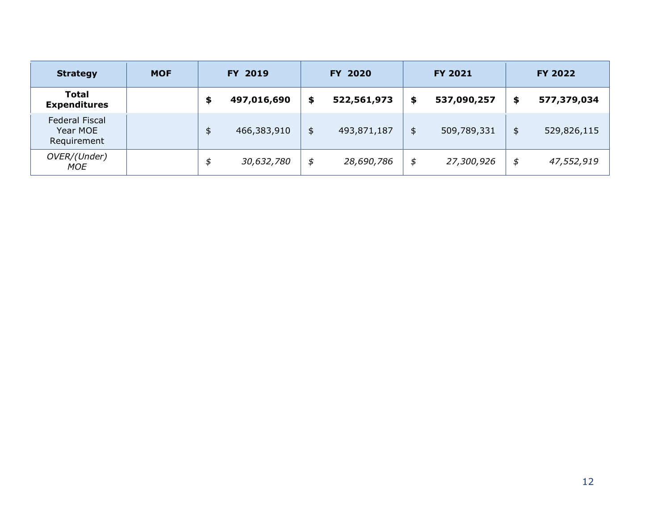| <b>Strategy</b>                           | <b>MOF</b> |    | FY 2019     |    | FY 2020     |    | <b>FY 2021</b> | <b>FY 2022</b> |             |  |
|-------------------------------------------|------------|----|-------------|----|-------------|----|----------------|----------------|-------------|--|
| <b>Total</b><br><b>Expenditures</b>       |            | ≖  | 497,016,690 | \$ | 522,561,973 | \$ | 537,090,257    | \$             | 577,379,034 |  |
| Federal Fiscal<br>Year MOE<br>Requirement |            | \$ | 466,383,910 | \$ | 493,871,187 | \$ | 509,789,331    | \$             | 529,826,115 |  |
| OVER/(Under)<br>MOE                       |            | \$ | 30,632,780  | \$ | 28,690,786  | \$ | 27,300,926     | \$             | 47,552,919  |  |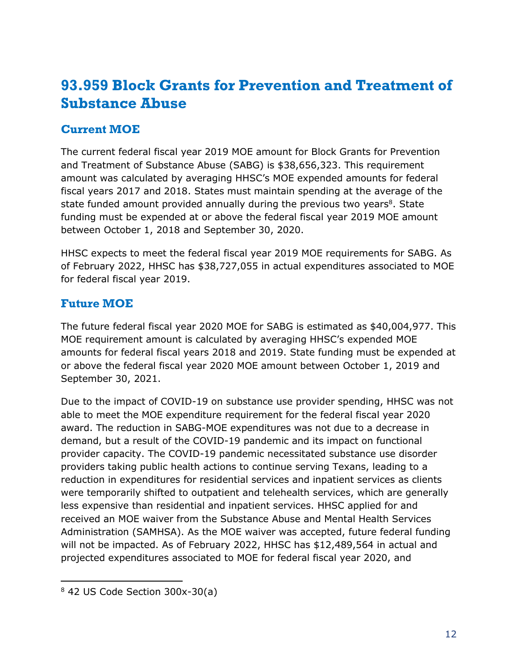### <span id="page-14-0"></span>**93.959 Block Grants for Prevention and Treatment of Substance Abuse**

#### **Current MOE**

The current federal fiscal year 2019 MOE amount for Block Grants for Prevention and Treatment of Substance Abuse (SABG) is \$38,656,323. This requirement amount was calculated by averaging HHSC's MOE expended amounts for federal fiscal years 2017 and 2018. States must maintain spending at the average of the state funded amount provided annually during the previous two years<sup>8</sup>. State funding must be expended at or above the federal fiscal year 2019 MOE amount between October 1, 2018 and September 30, 2020.

HHSC expects to meet the federal fiscal year 2019 MOE requirements for SABG. As of February 2022, HHSC has \$38,727,055 in actual expenditures associated to MOE for federal fiscal year 2019.

#### **Future MOE**

The future federal fiscal year 2020 MOE for SABG is estimated as \$40,004,977. This MOE requirement amount is calculated by averaging HHSC's expended MOE amounts for federal fiscal years 2018 and 2019. State funding must be expended at or above the federal fiscal year 2020 MOE amount between October 1, 2019 and September 30, 2021.

Due to the impact of COVID-19 on substance use provider spending, HHSC was not able to meet the MOE expenditure requirement for the federal fiscal year 2020 award. The reduction in SABG-MOE expenditures was not due to a decrease in demand, but a result of the COVID-19 pandemic and its impact on functional provider capacity. The COVID-19 pandemic necessitated substance use disorder providers taking public health actions to continue serving Texans, leading to a reduction in expenditures for residential services and inpatient services as clients were temporarily shifted to outpatient and telehealth services, which are generally less expensive than residential and inpatient services. HHSC applied for and received an MOE waiver from the Substance Abuse and Mental Health Services Administration (SAMHSA). As the MOE waiver was accepted, future federal funding will not be impacted. As of February 2022, HHSC has \$12,489,564 in actual and projected expenditures associated to MOE for federal fiscal year 2020, and

 $8$  42 US Code Section 300x-30(a)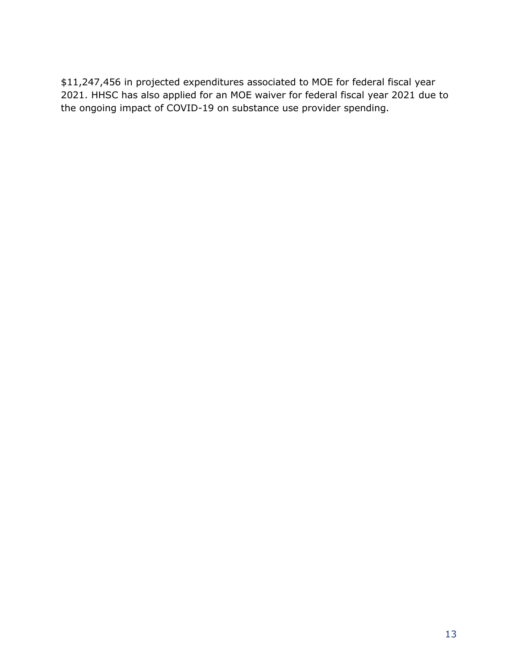\$11,247,456 in projected expenditures associated to MOE for federal fiscal year 2021. HHSC has also applied for an MOE waiver for federal fiscal year 2021 due to the ongoing impact of COVID-19 on substance use provider spending.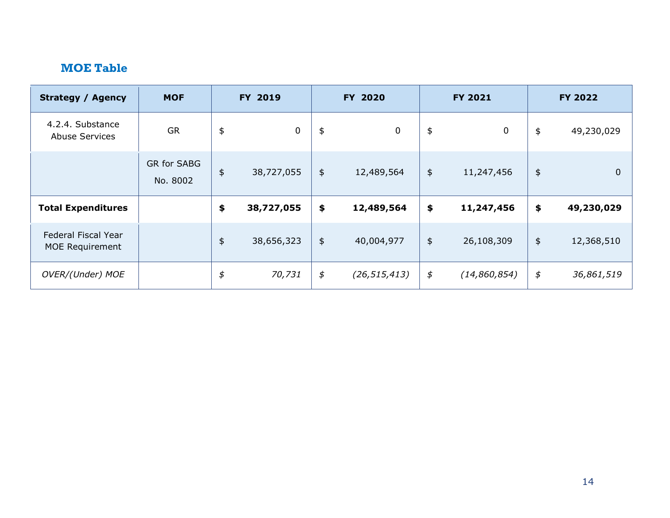| <b>Strategy / Agency</b>                  | <b>MOF</b>              |                  | FY 2019     |               | FY 2020        |         | <b>FY 2021</b> | FY 2022       |             |  |
|-------------------------------------------|-------------------------|------------------|-------------|---------------|----------------|---------|----------------|---------------|-------------|--|
| 4.2.4. Substance<br><b>Abuse Services</b> | <b>GR</b>               | $\pmb{\ddagger}$ | $\mathbf 0$ | \$            | $\mathbf 0$    | \$      | $\mathbf 0$    | \$            | 49,230,029  |  |
|                                           | GR for SABG<br>No. 8002 | $\frac{4}{5}$    | 38,727,055  | $\frac{1}{2}$ | 12,489,564     | \$      | 11,247,456     | $\frac{1}{2}$ | $\mathbf 0$ |  |
| <b>Total Expenditures</b>                 |                         | \$               | 38,727,055  | \$            | 12,489,564     | \$      | 11,247,456     | \$            | 49,230,029  |  |
| Federal Fiscal Year<br>MOE Requirement    |                         | $\frac{4}{5}$    | 38,656,323  | $\frac{1}{2}$ | 40,004,977     | \$      | 26,108,309     | $\frac{1}{2}$ | 12,368,510  |  |
| OVER/(Under) MOE                          |                         | \$               | 70,731      | \$            | (26, 515, 413) | $\oint$ | (14,860,854)   | \$            | 36,861,519  |  |

 $\mathcal{L}$